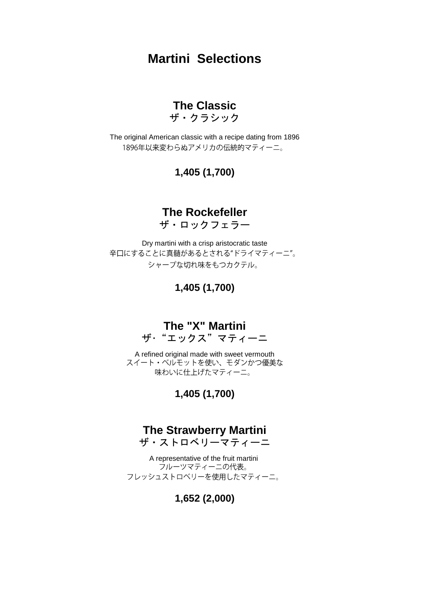### **Martini Selections**

## **The Classic**

ザ・クラシック

The original American classic with a recipe dating from 1896 1896年以来変わらぬアメリカの伝統的マティーニ。

#### **1,405 (1,700)**

#### **The Rockefeller**

ザ・ロックフェラー

Dry martini with a crisp aristocratic taste 辛口にすることに真髄があるとされる"ドライマティーニ"。 シャープな切れ味をもつカクテル。

**1,405 (1,700)**

#### **The "X" Martini**

ザ・"エックス"マティーニ

A refined original made with sweet vermouth<br>スイート・ベルモットを使い、モダンかつ優美な 味わいに仕上げたマティーニ。

#### **1,405 (1,700)**

### **The Strawberry Martini**

ザ・ストロベリーマティーニ

A representative of the fruit martini<br>フルーツマティーニの代表。 フレッシュストロベリーを使用したマティーニ。

#### **1,652 (2,000)**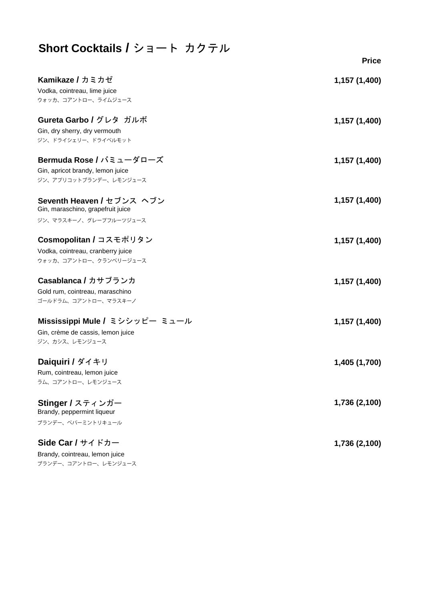### **Short Cocktails /** ショート カクテル

|                                                                 | <b>Price</b>  |
|-----------------------------------------------------------------|---------------|
| <b>Kamikaze / カミカゼ</b>                                          | 1,157 (1,400) |
| Vodka, cointreau, lime juice                                    |               |
| ウォッカ、コアントロー、ライムジュース                                             |               |
| Gureta Garbo / グレタ ガルボ                                          | 1,157 (1,400) |
| Gin, dry sherry, dry vermouth                                   |               |
| ジン、ドライシェリー、ドライベルモット                                             |               |
| Bermuda Rose / バミューダローズ                                         | 1,157 (1,400) |
| Gin, apricot brandy, lemon juice                                |               |
| ジン、アプリコットブランデー、レモンジュース                                          |               |
| Seventh Heaven / セブンス ヘブン                                       | 1,157 (1,400) |
| Gin, maraschino, grapefruit juice                               |               |
| ジン、マラスキーノ、グレープフルーツジュース                                          |               |
| Cosmopolitan / コスモポリタン                                          | 1,157 (1,400) |
| Vodka, cointreau, cranberry juice                               |               |
| ウォッカ、コアントロー、クランベリージュース                                          |               |
| Casablanca / カサブランカ                                             | 1,157 (1,400) |
| Gold rum, cointreau, maraschino                                 |               |
| ゴールドラム、コアントロー、マラスキーノ                                            |               |
| Mississippi Mule / ミシシッピー ミュール                                  | 1,157 (1,400) |
| Gin, crème de cassis, lemon juice                               |               |
| ジン、カシス、レモンジュース                                                  |               |
| Daiquiri / ダイキリ                                                 | 1,405 (1,700) |
| Rum, cointreau, lemon juice                                     |               |
| ラム、コアントロー、レモンジュース                                               |               |
| Stinger / スティンガー                                                | 1,736 (2,100) |
| Brandy, peppermint liqueur                                      |               |
| ブランデー、ペパーミントリキュール                                               |               |
| Side Car / $\forall$ $\forall$ $\land$ $\land$ $\forall$ $\neg$ | 1,736 (2,100) |
| Brandy, cointreau, lemon juice                                  |               |
| ブランデー、コアントロー、レモンジュース                                            |               |
|                                                                 |               |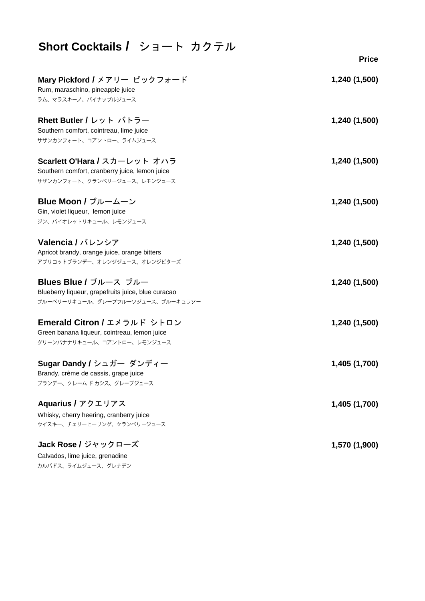| Short Cocktails / ショート カクテル                        |               |
|----------------------------------------------------|---------------|
|                                                    | <b>Price</b>  |
| Mary Pickford / メアリー ピックフォード                       | 1,240 (1,500) |
| Rum, maraschino, pineapple juice                   |               |
| ラム、マラスキーノ、パイナップルジュース                               |               |
| Rhett Butler / レット バトラー                            | 1,240 (1,500) |
| Southern comfort, cointreau, lime juice            |               |
| サザンカンフォート、コアントロー、ライムジュース                           |               |
| Scarlett O'Hara / スカーレット オハラ                       | 1,240 (1,500) |
| Southern comfort, cranberry juice, lemon juice     |               |
| サザンカンフォート、クランベリージュース、レモンジュース                       |               |
|                                                    |               |
| Blue Moon / ブルームーン                                 | 1,240 (1,500) |
| Gin, violet liqueur, lemon juice                   |               |
| ジン、バイオレットリキュール、レモンジュース                             |               |
| Valencia / バレンシア                                   | 1,240 (1,500) |
| Apricot brandy, orange juice, orange bitters       |               |
| アプリコットブランデー、オレンジジュース、オレンジビターズ                      |               |
| Blues Blue / ブルース ブルー                              | 1,240 (1,500) |
| Blueberry liqueur, grapefruits juice, blue curacao |               |
| ブルーベリーリキュール、グレープフルーツジュース、ブルーキュラソー                  |               |
| Emerald Citron / エメラルド シトロン                        | 1,240 (1,500) |
| Green banana liqueur, cointreau, lemon juice       |               |
| グリーンバナナリキュール、コアントロー、レモンジュース                        |               |
|                                                    |               |
| Sugar Dandy / シュガー ダンディー                           | 1,405 (1,700) |
| Brandy, crème de cassis, grape juice               |               |
| ブランデー、クレームドカシス、グレープジュース                            |               |
| Aquarius / アクエリアス                                  | 1,405 (1,700) |
| Whisky, cherry heering, cranberry juice            |               |
| ウイスキー、チェリーヒーリング、クランベリージュース                         |               |
| Jack Rose / ジャックローズ                                | 1,570 (1,900) |
| Calvados, lime juice, grenadine                    |               |
| カルバドス、ライムジュース、グレナデン                                |               |
|                                                    |               |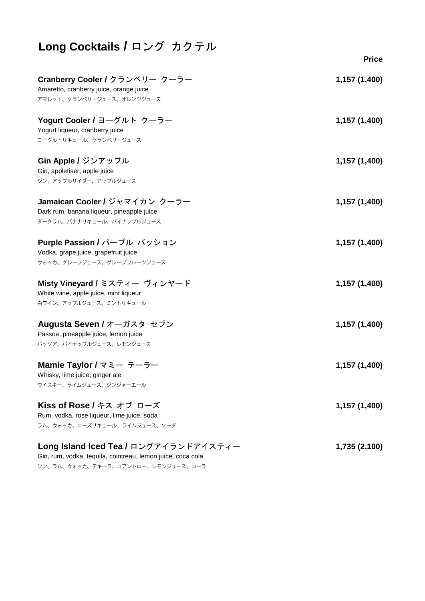| Long Cocktails / ロング カクテル                                                                               |               |
|---------------------------------------------------------------------------------------------------------|---------------|
|                                                                                                         | <b>Price</b>  |
| Cranberry Cooler / クランベリー クーラー<br>Amaretto, cranberry juice, orange juice<br>アマレット、クランベリージュース、オレンジジュース  | 1,157 (1,400) |
| Yogurt Cooler / ヨーグルト クーラー<br>Yogurt liqueur, cranberry juice<br>ヨーグルトリキュール、クランベリージュース                  | 1,157 (1,400) |
| Gin Apple / ジンアップル<br>Gin, appletiser, apple juice<br>ジン、アップルサイダー、アップルジュース                              | 1,157 (1,400) |
| Jamaican Cooler / ジャマイカン クーラー<br>Dark rum, banana liqueur, pineapple juice<br>ダークラム、バナナリキュール、パイナップルジュース | 1,157 (1,400) |
| Purple Passion / パープル パッション<br>Vodka, grape juice, grapefruit juice<br>ウォッカ、グレープジュース、グレープフルーツジュース       | 1,157 (1,400) |
| Misty Vineyard / ミスティー ヴィンヤード<br>White wine, apple juice, mint liqueur<br>白ワイン、アップルジュース、ミントリキュール        | 1,157 (1,400) |
| Augusta Seven / オーガスタ セブン<br>Passoa, pineapple juice, lemon juice<br>パッソア、パイナップルジュース、レモンジュース            | 1,157 (1,400) |
| Mamie Taylor / マミー テーラー<br>Whisky, lime juice, ginger ale<br>ウイスキー、ライムジュース、ジンジャーエール                     | 1,157 (1,400) |
| Kiss of Rose / キス オブ ローズ<br>Rum, vodka, rose liqueur, lime juice, soda<br>ラム、ウォッカ、ローズリキュール、ライムジュース、ソーダ  | 1,157 (1,400) |
| Long Island Iced Tea / ロングアイランドアイスティー                                                                   | 1,735 (2,100) |

Gin, rum, vodka, tequila, cointreau, lemon juice, coca cola ジン、ラム、ウォッカ、テキーラ、コアントロー、レモンジュース、コーラ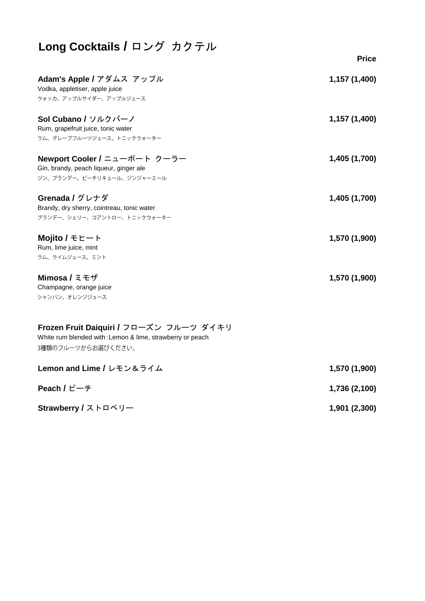| Long Cocktails / ロング カクテル                                                                                                  |               |
|----------------------------------------------------------------------------------------------------------------------------|---------------|
|                                                                                                                            | <b>Price</b>  |
| Adam's Apple / アダムス アップル<br>Vodka, appletiser, apple juice<br>ウォッカ、アップルサイダー、アップルジュース                                       | 1,157 (1,400) |
| Sol Cubano / ソルクバーノ<br>Rum, grapefruit juice, tonic water<br>ラム、グレープフルーツジュース、トニックウォーター                                     | 1,157 (1,400) |
| Newport Cooler / ニューポート クーラー<br>Gin, brandy, peach liqueur, ginger ale<br>ジン、ブランデー、ピーチリキュール、ジンジャーエール                       | 1,405 (1,700) |
| Grenada / グレナダ<br>Brandy, dry sherry, cointreau, tonic water<br>ブランデー、シェリー、コアントロー、トニックウォーター                                | 1,405 (1,700) |
| Mojito / $E$ $E - F$<br>Rum, lime juice, mint<br>ラム、ライムジュース、ミント                                                            | 1,570 (1,900) |
| Mimosa / $\leq$ $\pm$ $\sharp$<br>Champagne, orange juice<br>シャンパン、オレンジジュース                                                | 1,570 (1,900) |
| Frozen Fruit Daiquiri / フローズン フルーツ ダイキリ<br>White rum blended with: Lemon & lime, strawberry or peach<br>3種類のフルーツからお選びください。 |               |
| Lemon and Lime / レモン&ライム                                                                                                   | 1,570 (1,900) |
| Peach / $E - f$                                                                                                            | 1,736 (2,100) |

**Strawberry /** ストロベリー

**1,901 (2,300)**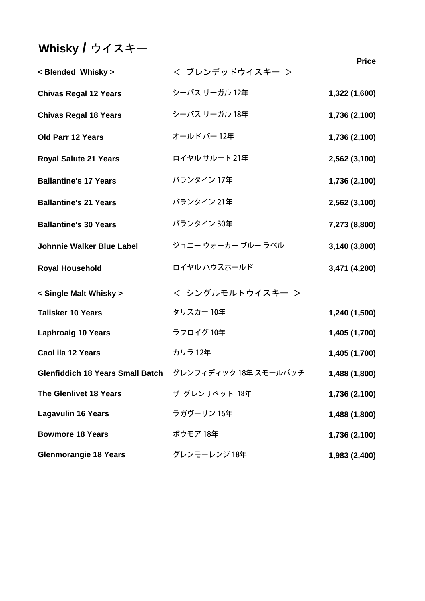# **Whisky /** ウイスキー

**Price**

| < Blended Whisky >               | < ブレンデッドウイスキー >                                        | <b>Price</b>  |
|----------------------------------|--------------------------------------------------------|---------------|
| <b>Chivas Regal 12 Years</b>     | シーバス リーガル 12年                                          | 1,322 (1,600) |
| <b>Chivas Regal 18 Years</b>     | シーバス リーガル 18年                                          | 1,736 (2,100) |
| <b>Old Parr 12 Years</b>         | オールド パー 12年                                            | 1,736 (2,100) |
| <b>Royal Salute 21 Years</b>     | ロイヤル サルート 21年                                          | 2,562 (3,100) |
| <b>Ballantine's 17 Years</b>     | バランタイン 17年                                             | 1,736 (2,100) |
| <b>Ballantine's 21 Years</b>     | バランタイン 21年                                             | 2,562 (3,100) |
| <b>Ballantine's 30 Years</b>     | バランタイン 30年                                             | 7,273 (8,800) |
| <b>Johnnie Walker Blue Label</b> | ジョニー ウォーカー ブルー ラベル                                     | 3,140 (3,800) |
| <b>Royal Household</b>           | ロイヤル ハウスホールド                                           | 3,471 (4,200) |
| < Single Malt Whisky >           | < シングルモルトウイスキー >                                       |               |
| <b>Talisker 10 Years</b>         | タリスカー10年                                               | 1,240 (1,500) |
| <b>Laphroaig 10 Years</b>        | ラフロイグ 10年                                              | 1,405 (1,700) |
| Caol ila 12 Years                | カリラ 12年                                                | 1,405 (1,700) |
|                                  | Glenfiddich 18 Years Small Batch グレンフィディック 18年 スモールバッチ | 1,488 (1,800) |
| <b>The Glenlivet 18 Years</b>    | ザ グレンリベット 18年                                          | 1,736 (2,100) |
| <b>Lagavulin 16 Years</b>        | ラガヴーリン 16年                                             | 1,488 (1,800) |
| <b>Bowmore 18 Years</b>          | ボウモア 18年                                               | 1,736 (2,100) |
| <b>Glenmorangie 18 Years</b>     | グレンモーレンジ 18年                                           | 1,983 (2,400) |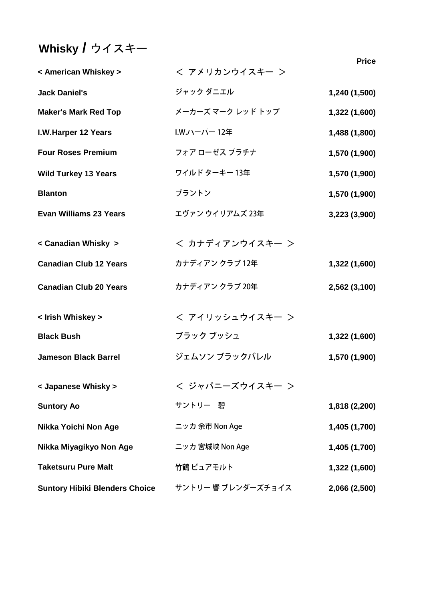# **Whisky /** ウイスキー

| < American Whiskey >                  | < アメリカンウイスキー >     | 1 I I A       |
|---------------------------------------|--------------------|---------------|
| <b>Jack Daniel's</b>                  | ジャック ダニエル          | 1,240 (1,500) |
| <b>Maker's Mark Red Top</b>           | メーカーズ マーク レッド トップ  | 1,322 (1,600) |
| I.W.Harper 12 Years                   | I.W.ハーパー12年        | 1,488 (1,800) |
| <b>Four Roses Premium</b>             | フォア ローゼス プラチナ      | 1,570 (1,900) |
| <b>Wild Turkey 13 Years</b>           | ワイルド ターキー 13年      | 1,570 (1,900) |
| <b>Blanton</b>                        | ブラントン              | 1,570 (1,900) |
| <b>Evan Williams 23 Years</b>         | エヴァン ウイリアムズ 23年    | 3,223 (3,900) |
| < Canadian Whisky >                   | < カナディアンウイスキー >    |               |
| <b>Canadian Club 12 Years</b>         | カナディアン クラブ 12年     | 1,322 (1,600) |
| <b>Canadian Club 20 Years</b>         | カナディアン クラブ 20年     | 2,562 (3,100) |
| < Irish Whiskey >                     | < アイリッシュウイスキー >    |               |
| <b>Black Bush</b>                     | ブラック ブッシュ          | 1,322 (1,600) |
| <b>Jameson Black Barrel</b>           | ジェムソン ブラックバレル      | 1,570 (1,900) |
| < Japanese Whisky >                   | < ジャパニーズウイスキー >    |               |
| <b>Suntory Ao</b>                     | サントリー 碧            | 1,818 (2,200) |
| Nikka Yoichi Non Age                  | ニッカ 余市 Non Age     | 1,405 (1,700) |
| Nikka Miyagikyo Non Age               | ニッカ 宮城峡 Non Age    | 1,405 (1,700) |
| <b>Taketsuru Pure Malt</b>            | 竹鶴 ピュアモルト          | 1,322 (1,600) |
| <b>Suntory Hibiki Blenders Choice</b> | サントリー 響 ブレンダーズチョイス | 2,066 (2,500) |

**Price**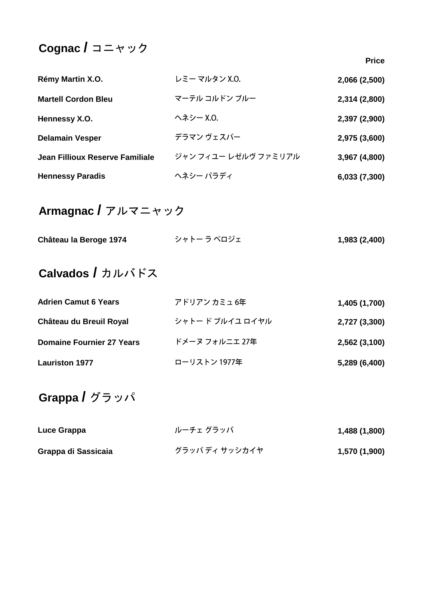### **Cognac /** コニャック

**Rémy Martin X.O.** レミーマルタン X.O. **2,066 (2,500) Martell Cordon Bleu 2,314 (2,800) Hennessy X.O. 2,397 (2,900) Delamain Vesper 2,975 (3,600) Jean Fillioux Reserve Familiale 3,967 (4,800)** ヘネシー パラディ **Hennessy Paradis 6,033 (7,300)**

### **Armagnac /** アルマニャック

| Château la Beroge 1974 | シャトー ラ ベロジェ | 1,983 (2,400) |
|------------------------|-------------|---------------|
|                        |             |               |

### **Calvados /** カルバドス

| <b>Adrien Camut 6 Years</b>      | アドリアン カミュ 6年     | 1,405 (1,700) |
|----------------------------------|------------------|---------------|
| Château du Breuil Royal          | シャトー ド ブルイユ ロイヤル | 2,727 (3,300) |
| <b>Domaine Fournier 27 Years</b> | ドメーヌ フォルニエ 27年   | 2,562 (3,100) |
| <b>Lauriston 1977</b>            | ローリストン 1977年     | 5,289 (6,400) |

### **Grappa /** グラッパ

| Luce Grappa         | ルーチェ グラッパ      | 1,488 (1,800) |
|---------------------|----------------|---------------|
| Grappa di Sassicaia | グラッパ ディ サッシカイヤ | 1,570 (1,900) |

**Price**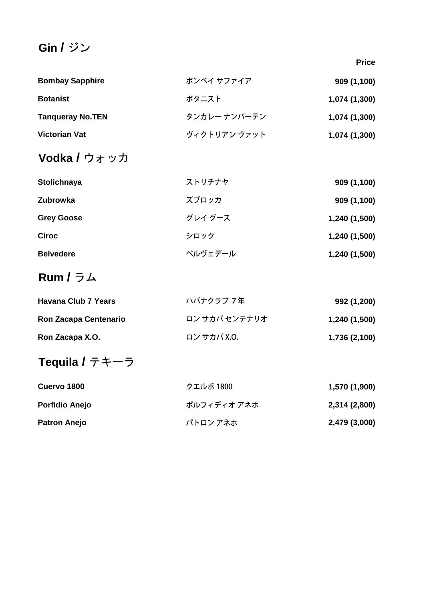## **Gin /** ジン

**Price**

| <b>Bombay Sapphire</b>  | ボンベイ サファイア   | 909 (1,100)   |
|-------------------------|--------------|---------------|
| <b>Botanist</b>         | ボタニスト        | 1,074 (1,300) |
| <b>Tanqueray No.TEN</b> | タンカレー ナンバーテン | 1,074 (1,300) |
| <b>Victorian Vat</b>    | ヴィクトリアン ヴァット | 1,074 (1,300) |

### **Vodka /** ウォッカ

| Stolichnaya       | ストリチナヤ  | 909 (1,100)   |
|-------------------|---------|---------------|
| <b>Zubrowka</b>   | ズブロッカ   | 909 (1,100)   |
| <b>Grey Goose</b> | グレイ グース | 1,240 (1,500) |
| <b>Ciroc</b>      | シロック    | 1,240 (1,500) |
| <b>Belvedere</b>  | ベルヴェデール | 1,240 (1,500) |

## **Rum /** ラム

| <b>Havana Club 7 Years</b>   | ハバナクラブ 7年     | 992 (1,200)   |  |
|------------------------------|---------------|---------------|--|
| <b>Ron Zacapa Centenario</b> | ロン サカパ センテナリオ | 1,240 (1,500) |  |
| Ron Zacapa X.O.              | ロン サカパ X.O.   | 1,736 (2,100) |  |

# **Tequila /** テキーラ

| Cuervo 1800           | クエルボ 1800   | 1,570 (1,900) |
|-----------------------|-------------|---------------|
| <b>Porfidio Anejo</b> | ポルフィディオ アネホ | 2,314 (2,800) |
| <b>Patron Anejo</b>   | パトロン アネホ    | 2,479 (3,000) |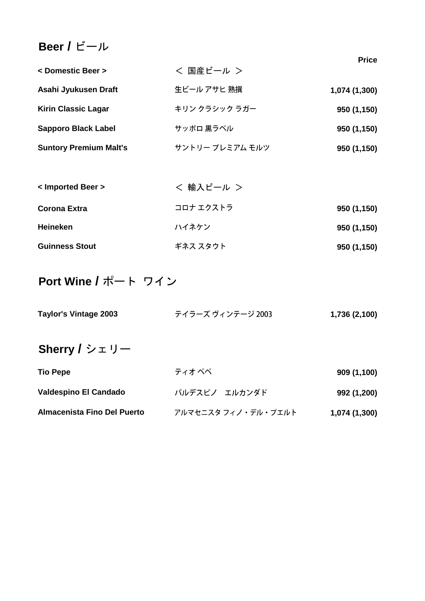### **Beer /** ビール

|                               |                 | <b>Price</b>  |
|-------------------------------|-----------------|---------------|
| < Domestic Beer >             | < 国産ビール >       |               |
| Asahi Jyukusen Draft          | 生ビール アサヒ 熟撰     | 1,074 (1,300) |
| <b>Kirin Classic Lagar</b>    | キリン クラシック ラガー   | 950 (1,150)   |
| <b>Sapporo Black Label</b>    | サッポロ 黒ラベル       | 950 (1,150)   |
| <b>Suntory Premium Malt's</b> | サントリー プレミアム モルツ | 950 (1,150)   |

| < Imported Beer >     | < 輸入ビール > |             |
|-----------------------|-----------|-------------|
| Corona Extra          | コロナ エクストラ | 950 (1,150) |
| <b>Heineken</b>       | ハイネケン     | 950 (1,150) |
| <b>Guinness Stout</b> | ギネス スタウト  | 950 (1,150) |

## **Port Wine /** ポート ワイン

| Taylor's Vintage 2003        | テイラーズ ヴィンテージ 2003   | 1,736 (2,100) |
|------------------------------|---------------------|---------------|
| Sherry / $\dot{v}$ $\pm$ リー  |                     |               |
| <b>Tio Pepe</b>              | ティオ ぺぺ              | 909 (1,100)   |
| <b>Valdespino El Candado</b> | バルデスピノ エルカンダド       | 992 (1,200)   |
| Almacenista Fino Del Puerto  | アルマセニスタ フィノ・デル・プエルト | 1,074 (1,300) |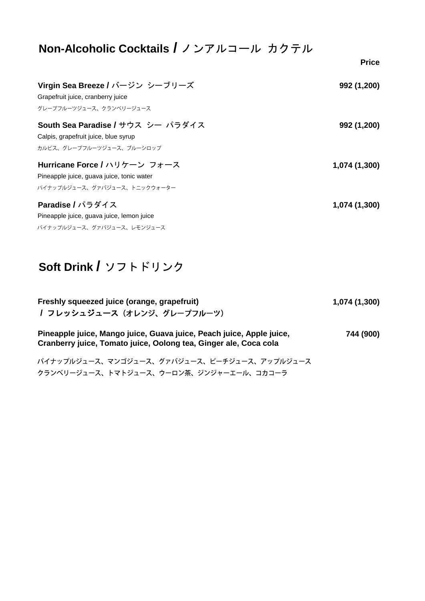| Non-Alcoholic Cocktails / ノンアルコール カクテル    |               |
|-------------------------------------------|---------------|
|                                           | <b>Price</b>  |
| Virgin Sea Breeze / バージン シーブリーズ           | 992 (1,200)   |
| Grapefruit juice, cranberry juice         |               |
| グレープフルーツジュース、クランベリージュース                   |               |
| South Sea Paradise / サウス シー パラダイス         | 992 (1,200)   |
| Calpis, grapefruit juice, blue syrup      |               |
| カルピス、グレープフルーツジュース、ブルーシロップ                 |               |
| Hurricane Force / ハリケーン フォース              | 1,074 (1,300) |
| Pineapple juice, guava juice, tonic water |               |
| パイナップルジュース、グァバジュース、トニックウォーター              |               |
| Paradise / パラダイス                          | 1,074 (1,300) |
| Pineapple juice, guava juice, lemon juice |               |
| パイナップルジュース、グァバジュース、レモンジュース                |               |

## **Soft Drink /** ソフトドリンク

| Freshly squeezed juice (orange, grapefruit)<br>/ フレッシュジュース (オレンジ、グレープフルーツ)                                                               | 1,074 (1,300) |
|------------------------------------------------------------------------------------------------------------------------------------------|---------------|
| Pineapple juice, Mango juice, Guava juice, Peach juice, Apple juice,<br>Cranberry juice, Tomato juice, Oolong tea, Ginger ale, Coca cola | 744 (900)     |
| パイナップルジュース、マンゴジュース、グァバジュース、ピーチジュース、アップルジュース<br>クランベリージュース、トマトジュース、ウーロン茶、ジンジャーエール、コカコーラ                                                   |               |